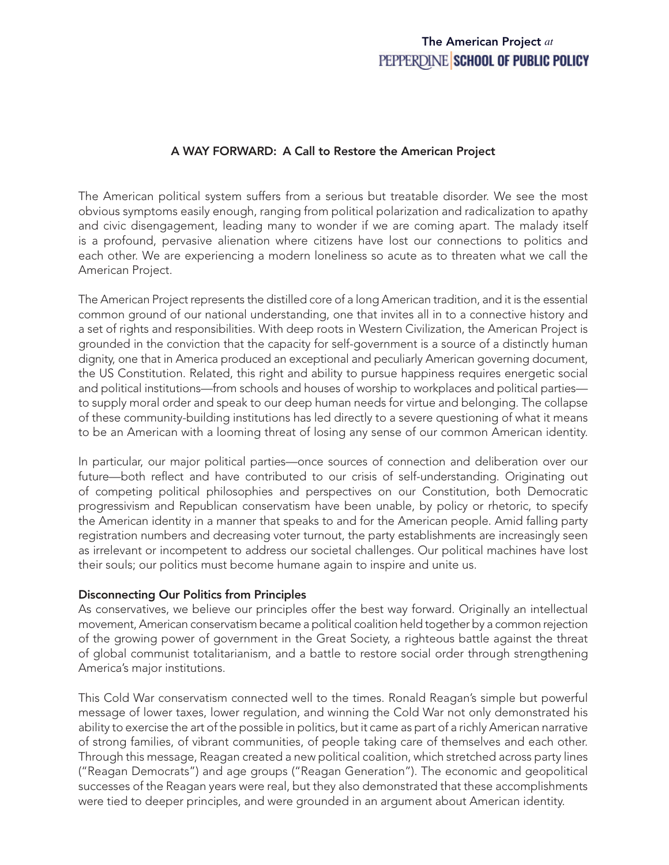# The American Project *at*PEPPERDINE SCHOOL OF PUBLIC POLICY

### A WAY FORWARD: A Call to Restore the American Project

The American political system suffers from a serious but treatable disorder. We see the most obvious symptoms easily enough, ranging from political polarization and radicalization to apathy and civic disengagement, leading many to wonder if we are coming apart. The malady itself is a profound, pervasive alienation where citizens have lost our connections to politics and each other. We are experiencing a modern loneliness so acute as to threaten what we call the American Project.

The American Project represents the distilled core of a long American tradition, and it is the essential common ground of our national understanding, one that invites all in to a connective history and a set of rights and responsibilities. With deep roots in Western Civilization, the American Project is grounded in the conviction that the capacity for self-government is a source of a distinctly human dignity, one that in America produced an exceptional and peculiarly American governing document, the US Constitution. Related, this right and ability to pursue happiness requires energetic social and political institutions—from schools and houses of worship to workplaces and political parties to supply moral order and speak to our deep human needs for virtue and belonging. The collapse of these community-building institutions has led directly to a severe questioning of what it means to be an American with a looming threat of losing any sense of our common American identity.

In particular, our major political parties—once sources of connection and deliberation over our future—both reflect and have contributed to our crisis of self-understanding. Originating out of competing political philosophies and perspectives on our Constitution, both Democratic progressivism and Republican conservatism have been unable, by policy or rhetoric, to specify the American identity in a manner that speaks to and for the American people. Amid falling party registration numbers and decreasing voter turnout, the party establishments are increasingly seen as irrelevant or incompetent to address our societal challenges. Our political machines have lost their souls; our politics must become humane again to inspire and unite us.

### Disconnecting Our Politics from Principles

As conservatives, we believe our principles offer the best way forward. Originally an intellectual movement, American conservatism became a political coalition held together by a common rejection of the growing power of government in the Great Society, a righteous battle against the threat of global communist totalitarianism, and a battle to restore social order through strengthening America's major institutions.

This Cold War conservatism connected well to the times. Ronald Reagan's simple but powerful message of lower taxes, lower regulation, and winning the Cold War not only demonstrated his ability to exercise the art of the possible in politics, but it came as part of a richly American narrative of strong families, of vibrant communities, of people taking care of themselves and each other. Through this message, Reagan created a new political coalition, which stretched across party lines ("Reagan Democrats") and age groups ("Reagan Generation"). The economic and geopolitical successes of the Reagan years were real, but they also demonstrated that these accomplishments were tied to deeper principles, and were grounded in an argument about American identity.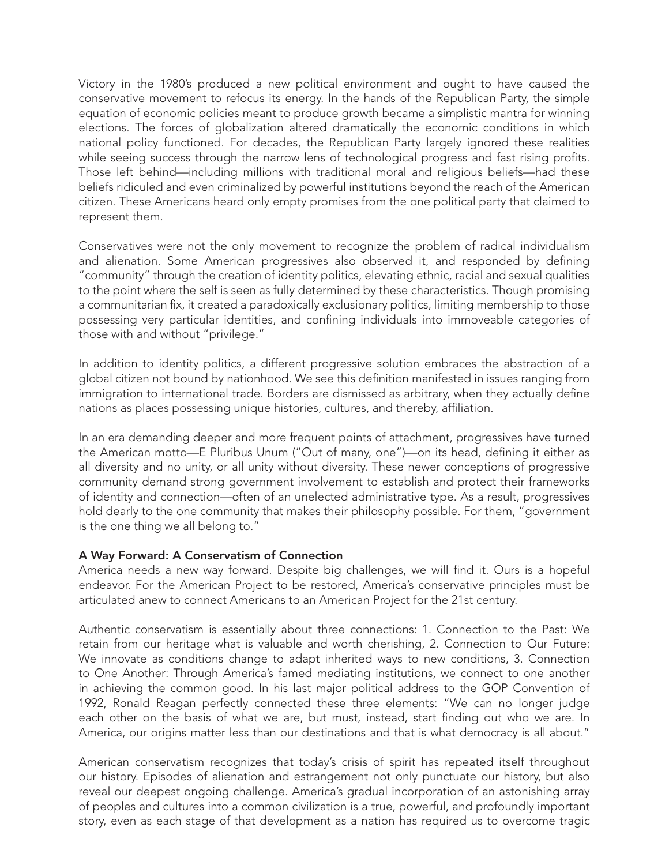Victory in the 1980's produced a new political environment and ought to have caused the conservative movement to refocus its energy. In the hands of the Republican Party, the simple equation of economic policies meant to produce growth became a simplistic mantra for winning elections. The forces of globalization altered dramatically the economic conditions in which national policy functioned. For decades, the Republican Party largely ignored these realities while seeing success through the narrow lens of technological progress and fast rising profits. Those left behind—including millions with traditional moral and religious beliefs—had these beliefs ridiculed and even criminalized by powerful institutions beyond the reach of the American citizen. These Americans heard only empty promises from the one political party that claimed to represent them.

Conservatives were not the only movement to recognize the problem of radical individualism and alienation. Some American progressives also observed it, and responded by defining "community" through the creation of identity politics, elevating ethnic, racial and sexual qualities to the point where the self is seen as fully determined by these characteristics. Though promising a communitarian fix, it created a paradoxically exclusionary politics, limiting membership to those possessing very particular identities, and confining individuals into immoveable categories of those with and without "privilege."

In addition to identity politics, a different progressive solution embraces the abstraction of a global citizen not bound by nationhood. We see this definition manifested in issues ranging from immigration to international trade. Borders are dismissed as arbitrary, when they actually define nations as places possessing unique histories, cultures, and thereby, affiliation.

In an era demanding deeper and more frequent points of attachment, progressives have turned the American motto—E Pluribus Unum ("Out of many, one")—on its head, defining it either as all diversity and no unity, or all unity without diversity. These newer conceptions of progressive community demand strong government involvement to establish and protect their frameworks of identity and connection—often of an unelected administrative type. As a result, progressives hold dearly to the one community that makes their philosophy possible. For them, "government is the one thing we all belong to."

### A Way Forward: A Conservatism of Connection

America needs a new way forward. Despite big challenges, we will find it. Ours is a hopeful endeavor. For the American Project to be restored, America's conservative principles must be articulated anew to connect Americans to an American Project for the 21st century.

Authentic conservatism is essentially about three connections: 1. Connection to the Past: We retain from our heritage what is valuable and worth cherishing, 2. Connection to Our Future: We innovate as conditions change to adapt inherited ways to new conditions, 3. Connection to One Another: Through America's famed mediating institutions, we connect to one another in achieving the common good. In his last major political address to the GOP Convention of 1992, Ronald Reagan perfectly connected these three elements: "We can no longer judge each other on the basis of what we are, but must, instead, start finding out who we are. In America, our origins matter less than our destinations and that is what democracy is all about."

American conservatism recognizes that today's crisis of spirit has repeated itself throughout our history. Episodes of alienation and estrangement not only punctuate our history, but also reveal our deepest ongoing challenge. America's gradual incorporation of an astonishing array of peoples and cultures into a common civilization is a true, powerful, and profoundly important story, even as each stage of that development as a nation has required us to overcome tragic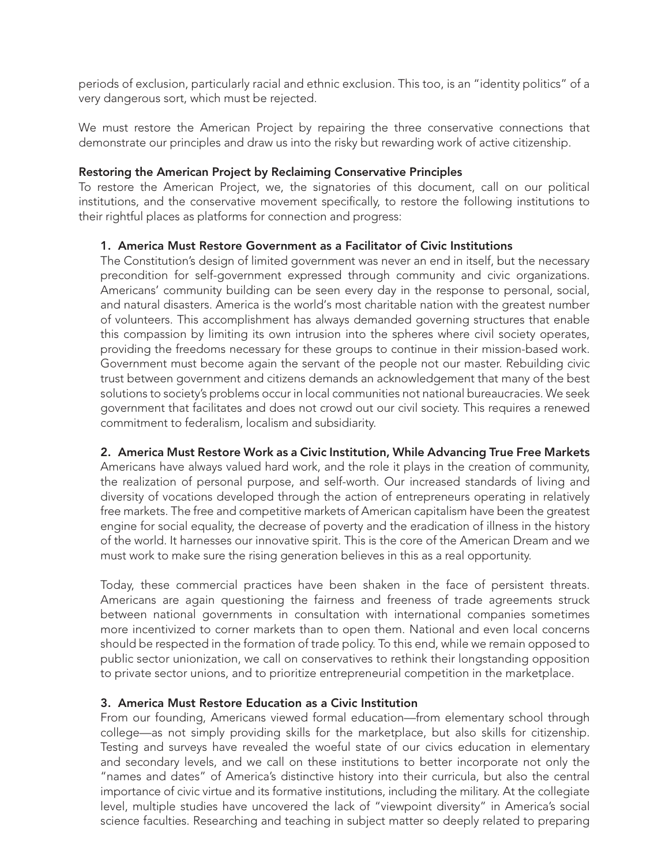periods of exclusion, particularly racial and ethnic exclusion. This too, is an "identity politics" of a very dangerous sort, which must be rejected.

We must restore the American Project by repairing the three conservative connections that demonstrate our principles and draw us into the risky but rewarding work of active citizenship.

#### Restoring the American Project by Reclaiming Conservative Principles

To restore the American Project, we, the signatories of this document, call on our political institutions, and the conservative movement specifically, to restore the following institutions to their rightful places as platforms for connection and progress:

#### 1. America Must Restore Government as a Facilitator of Civic Institutions

The Constitution's design of limited government was never an end in itself, but the necessary precondition for self-government expressed through community and civic organizations. Americans' community building can be seen every day in the response to personal, social, and natural disasters. America is the world's most charitable nation with the greatest number of volunteers. This accomplishment has always demanded governing structures that enable this compassion by limiting its own intrusion into the spheres where civil society operates, providing the freedoms necessary for these groups to continue in their mission-based work. Government must become again the servant of the people not our master. Rebuilding civic trust between government and citizens demands an acknowledgement that many of the best solutions to society's problems occur in local communities not national bureaucracies. We seek government that facilitates and does not crowd out our civil society. This requires a renewed commitment to federalism, localism and subsidiarity.

#### 2. America Must Restore Work as a Civic Institution, While Advancing True Free Markets

Americans have always valued hard work, and the role it plays in the creation of community, the realization of personal purpose, and self-worth. Our increased standards of living and diversity of vocations developed through the action of entrepreneurs operating in relatively free markets. The free and competitive markets of American capitalism have been the greatest engine for social equality, the decrease of poverty and the eradication of illness in the history of the world. It harnesses our innovative spirit. This is the core of the American Dream and we must work to make sure the rising generation believes in this as a real opportunity.

Today, these commercial practices have been shaken in the face of persistent threats. Americans are again questioning the fairness and freeness of trade agreements struck between national governments in consultation with international companies sometimes more incentivized to corner markets than to open them. National and even local concerns should be respected in the formation of trade policy. To this end, while we remain opposed to public sector unionization, we call on conservatives to rethink their longstanding opposition to private sector unions, and to prioritize entrepreneurial competition in the marketplace.

### 3. America Must Restore Education as a Civic Institution

From our founding, Americans viewed formal education—from elementary school through college—as not simply providing skills for the marketplace, but also skills for citizenship. Testing and surveys have revealed the woeful state of our civics education in elementary and secondary levels, and we call on these institutions to better incorporate not only the "names and dates" of America's distinctive history into their curricula, but also the central importance of civic virtue and its formative institutions, including the military. At the collegiate level, multiple studies have uncovered the lack of "viewpoint diversity" in America's social science faculties. Researching and teaching in subject matter so deeply related to preparing